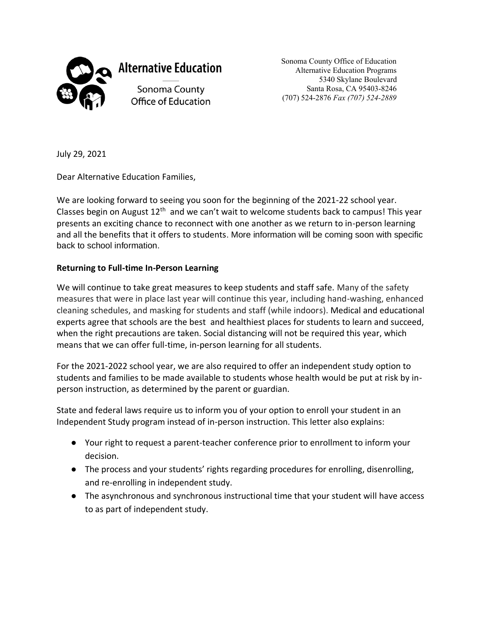

**Alternative Education** 

Sonoma County Office of Education Sonoma County Office of Education Alternative Education Programs 5340 Skylane Boulevard Santa Rosa, CA 95403-8246 (707) 524-2876 *Fax (707) 524-2889*

July 29, 2021

Dear Alternative Education Families,

We are looking forward to seeing you soon for the beginning of the 2021-22 school year. Classes begin on August  $12<sup>th</sup>$  and we can't wait to welcome students back to campus! This year presents an exciting chance to reconnect with one another as we return to in-person learning and all the benefits that it offers to students. More information will be coming soon with specific back to school information.

## **Returning to Full-time In-Person Learning**

We will continue to take great measures to keep students and staff safe. Many of the safety measures that were in place last year will continue this year, including hand-washing, enhanced cleaning schedules, and masking for students and staff (while indoors). Medical and educational experts agree that schools are the best and healthiest places for students to learn and succeed, when the right precautions are taken. Social distancing will not be required this year, which means that we can offer full-time, in-person learning for all students.

For the 2021-2022 school year, we are also required to offer an independent study option to students and families to be made available to students whose health would be put at risk by inperson instruction, as determined by the parent or guardian.

State and federal laws require us to inform you of your option to enroll your student in an Independent Study program instead of in-person instruction. This letter also explains:

- Your right to request a parent-teacher conference prior to enrollment to inform your decision.
- The process and your students' rights regarding procedures for enrolling, disenrolling, and re-enrolling in independent study.
- The asynchronous and synchronous instructional time that your student will have access to as part of independent study.